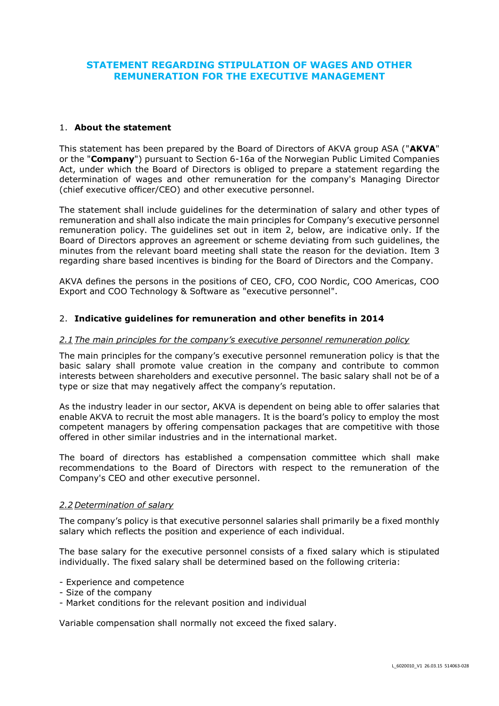# **STATEMENT REGARDING STIPULATION OF WAGES AND OTHER REMUNERATION FOR THE EXECUTIVE MANAGEMENT**

### 1. **About the statement**

This statement has been prepared by the Board of Directors of AKVA group ASA ("**AKVA**" or the "**Company**") pursuant to Section 6-16a of the Norwegian Public Limited Companies Act, under which the Board of Directors is obliged to prepare a statement regarding the determination of wages and other remuneration for the company's Managing Director (chief executive officer/CEO) and other executive personnel.

The statement shall include guidelines for the determination of salary and other types of remuneration and shall also indicate the main principles for Company's executive personnel remuneration policy. The guidelines set out in item 2, below, are indicative only. If the Board of Directors approves an agreement or scheme deviating from such guidelines, the minutes from the relevant board meeting shall state the reason for the deviation. Item 3 regarding share based incentives is binding for the Board of Directors and the Company.

AKVA defines the persons in the positions of CEO, CFO, COO Nordic, COO Americas, COO Export and COO Technology & Software as "executive personnel".

### 2. **Indicative guidelines for remuneration and other benefits in 2014**

#### *2.1 The main principles for the company's executive personnel remuneration policy*

The main principles for the company's executive personnel remuneration policy is that the basic salary shall promote value creation in the company and contribute to common interests between shareholders and executive personnel. The basic salary shall not be of a type or size that may negatively affect the company's reputation.

As the industry leader in our sector, AKVA is dependent on being able to offer salaries that enable AKVA to recruit the most able managers. It is the board's policy to employ the most competent managers by offering compensation packages that are competitive with those offered in other similar industries and in the international market.

The board of directors has established a compensation committee which shall make recommendations to the Board of Directors with respect to the remuneration of the Company's CEO and other executive personnel.

### *2.2 Determination of salary*

The company's policy is that executive personnel salaries shall primarily be a fixed monthly salary which reflects the position and experience of each individual.

The base salary for the executive personnel consists of a fixed salary which is stipulated individually. The fixed salary shall be determined based on the following criteria:

- Experience and competence
- Size of the company
- Market conditions for the relevant position and individual

Variable compensation shall normally not exceed the fixed salary.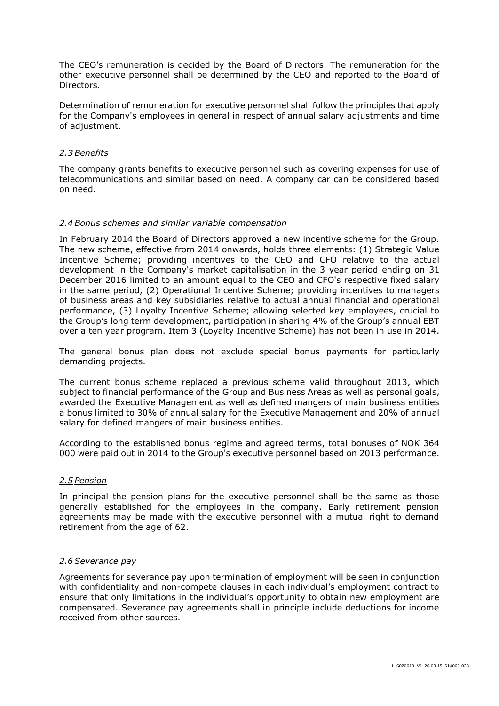The CEO's remuneration is decided by the Board of Directors. The remuneration for the other executive personnel shall be determined by the CEO and reported to the Board of Directors.

Determination of remuneration for executive personnel shall follow the principles that apply for the Company's employees in general in respect of annual salary adjustments and time of adjustment.

### *2.3Benefits*

The company grants benefits to executive personnel such as covering expenses for use of telecommunications and similar based on need. A company car can be considered based on need.

## *2.4Bonus schemes and similar variable compensation*

In February 2014 the Board of Directors approved a new incentive scheme for the Group. The new scheme, effective from 2014 onwards, holds three elements: (1) Strategic Value Incentive Scheme; providing incentives to the CEO and CFO relative to the actual development in the Company's market capitalisation in the 3 year period ending on 31 December 2016 limited to an amount equal to the CEO and CFO's respective fixed salary in the same period, (2) Operational Incentive Scheme; providing incentives to managers of business areas and key subsidiaries relative to actual annual financial and operational performance, (3) Loyalty Incentive Scheme; allowing selected key employees, crucial to the Group's long term development, participation in sharing 4% of the Group's annual EBT over a ten year program. Item 3 (Loyalty Incentive Scheme) has not been in use in 2014.

The general bonus plan does not exclude special bonus payments for particularly demanding projects.

The current bonus scheme replaced a previous scheme valid throughout 2013, which subject to financial performance of the Group and Business Areas as well as personal goals, awarded the Executive Management as well as defined mangers of main business entities a bonus limited to 30% of annual salary for the Executive Management and 20% of annual salary for defined mangers of main business entities.

According to the established bonus regime and agreed terms, total bonuses of NOK 364 000 were paid out in 2014 to the Group's executive personnel based on 2013 performance.

### *2.5 Pension*

In principal the pension plans for the executive personnel shall be the same as those generally established for the employees in the company. Early retirement pension agreements may be made with the executive personnel with a mutual right to demand retirement from the age of 62.

### *2.6 Severance pay*

Agreements for severance pay upon termination of employment will be seen in conjunction with confidentiality and non-compete clauses in each individual's employment contract to ensure that only limitations in the individual's opportunity to obtain new employment are compensated. Severance pay agreements shall in principle include deductions for income received from other sources.